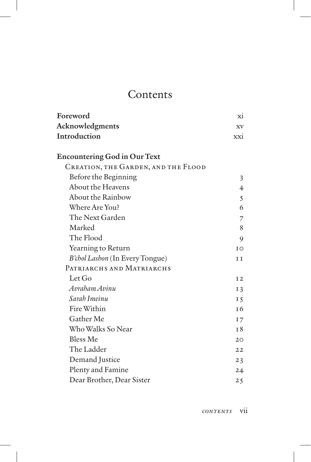## **Contents**

| Foreword                            | X1             |
|-------------------------------------|----------------|
| Acknowledgments                     | <b>XV</b>      |
| Introduction                        | xxi            |
|                                     |                |
| <b>Encountering God in Our Text</b> |                |
| CREATION, THE GARDEN, AND THE FLOOD |                |
| Before the Beginning                | 3              |
| About the Heavens                   | $\overline{4}$ |
| <b>About the Rainbow</b>            | 5              |
| Where Are You?                      | 6              |
| The Next Garden                     | 7              |
| Marked                              | 8              |
| The Flood                           | 9              |
| Yearning to Return                  | T <sub>O</sub> |
| B'chol Lashon (In Every Tongue)     | ΤT             |
| PATRIARCHS AND MATRIARCHS           |                |
| Let Go                              | I <sub>2</sub> |
| Avraham Avinu                       | I <sub>3</sub> |
| Sarah Imeinu                        | I <sub>5</sub> |
| Fire Within                         | T6             |
| Gather Me                           | I7             |
| Who Walks So Near                   | T8             |
| <b>Bless Me</b>                     | 20             |
| The Ladder                          | 22             |
| Demand Justice                      | 23             |
| Plenty and Famine                   | 24             |
| Dear Brother, Dear Sister           | 25             |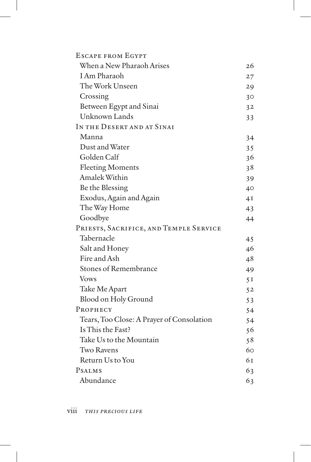| <b>ESCAPE FROM EGYPT</b>                  |                 |
|-------------------------------------------|-----------------|
| When a New Pharaoh Arises                 | 26              |
| I Am Pharaoh                              | 27              |
| The Work Unseen                           | 29              |
| Crossing                                  | 30 <sup>°</sup> |
| Between Egypt and Sinai                   | 3 <sup>2</sup>  |
| Unknown Lands                             | 33              |
| IN THE DESERT AND AT SINAI                |                 |
| Manna                                     | 34              |
| Dust and Water                            | 35              |
| Golden Calf                               | 36              |
| <b>Fleeting Moments</b>                   | 38              |
| Amalek Within                             | 39              |
| Be the Blessing                           | 40              |
| Exodus, Again and Again                   | 4I              |
| The Way Home                              | 43              |
| Goodbye                                   | 44              |
| PRIESTS, SACRIFICE, AND TEMPLE SERVICE    |                 |
| Tabernacle                                | 45              |
| Salt and Honey                            | 46              |
| Fire and Ash                              | 48              |
| <b>Stones of Remembrance</b>              | 49              |
| <b>Vows</b>                               | 5I              |
| Take Me Apart                             | 5 <sub>2</sub>  |
| Blood on Holy Ground                      | 53              |
| PROPHECY                                  | 54              |
| Tears, Too Close: A Prayer of Consolation | 54              |
| Is This the Fast?                         | 56              |
| Take Us to the Mountain                   | 58              |
| <b>Two Ravens</b>                         | 60              |
| Return Us to You                          | 6т              |
| <b>PSALMS</b>                             | 63              |
| Abundance                                 | 63              |
|                                           |                 |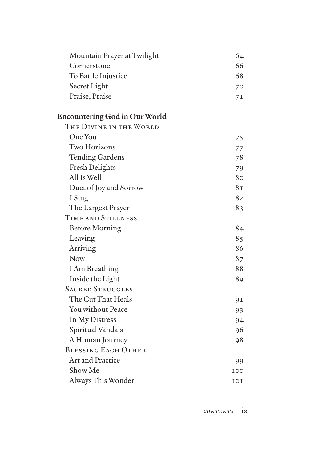| Mountain Prayer at Twilight          | 64  |
|--------------------------------------|-----|
| Cornerstone                          | 66  |
| To Battle Injustice                  | 68  |
| Secret Light                         | 70  |
| Praise, Praise                       | 71  |
| <b>Encountering God in Our World</b> |     |
| THE DIVINE IN THE WORLD              |     |
| One You                              | 75  |
| <b>Two Horizons</b>                  | 77  |
| <b>Tending Gardens</b>               | 78  |
| <b>Fresh Delights</b>                | 79  |
| All Is Well                          | 80  |
| Duet of Joy and Sorrow               | 81  |
| I Sing                               | 82  |
| The Largest Prayer                   | 83  |
| TIME AND STILLNESS                   |     |
| <b>Before Morning</b>                | 84  |
| Leaving                              | 85  |
| Arriving                             | 86  |
| <b>Now</b>                           | 87  |
| I Am Breathing                       | 88  |
| Inside the Light                     | 89  |
| <b>SACRED STRUGGLES</b>              |     |
| The Cut That Heals                   | 9 I |
| You without Peace                    | 93  |
| In My Distress                       | 94  |
| Spiritual Vandals                    | 96  |
| A Human Journey                      | 98  |
| <b>BLESSING EACH OTHER</b>           |     |
| Art and Practice                     | 99  |
| Show Me                              | IOO |
| Always This Wonder                   | IOI |